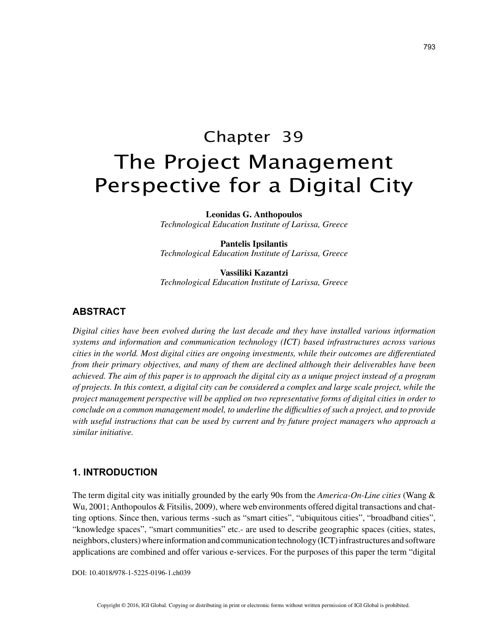# Chapter 39 The Project Management Perspective for a Digital City

**Leonidas G. Anthopoulos**

*Technological Education Institute of Larissa, Greece*

**Pantelis Ipsilantis** *Technological Education Institute of Larissa, Greece*

**Vassiliki Kazantzi** *Technological Education Institute of Larissa, Greece*

## **ABSTRACT**

*Digital cities have been evolved during the last decade and they have installed various information systems and information and communication technology (ICT) based infrastructures across various cities in the world. Most digital cities are ongoing investments, while their outcomes are differentiated from their primary objectives, and many of them are declined although their deliverables have been achieved. The aim of this paper is to approach the digital city as a unique project instead of a program of projects. In this context, a digital city can be considered a complex and large scale project, while the project management perspective will be applied on two representative forms of digital cities in order to conclude on a common management model, to underline the difficulties of such a project, and to provide with useful instructions that can be used by current and by future project managers who approach a similar initiative.*

## **1. INTRODUCTION**

The term digital city was initially grounded by the early 90s from the *America-On-Line cities* (Wang & Wu, 2001; Anthopoulos & Fitsilis, 2009), where web environments offered digital transactions and chatting options. Since then, various terms -such as "smart cities", "ubiquitous cities", "broadband cities", "knowledge spaces", "smart communities" etc.- are used to describe geographic spaces (cities, states, neighbors, clusters) where information and communication technology (ICT) infrastructures and software applications are combined and offer various e-services. For the purposes of this paper the term "digital

DOI: 10.4018/978-1-5225-0196-1.ch039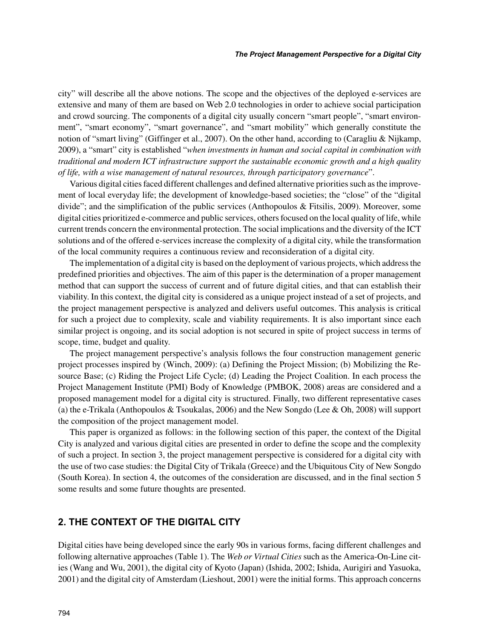city" will describe all the above notions. The scope and the objectives of the deployed e-services are extensive and many of them are based on Web 2.0 technologies in order to achieve social participation and crowd sourcing. The components of a digital city usually concern "smart people", "smart environment", "smart economy", "smart governance", and "smart mobility" which generally constitute the notion of "smart living" (Giffinger et al., 2007). On the other hand, according to (Caragliu & Nijkamp, 2009), a "smart" city is established "*when investments in human and social capital in combination with traditional and modern ICT infrastructure support the sustainable economic growth and a high quality of life, with a wise management of natural resources, through participatory governance*".

Various digital cities faced different challenges and defined alternative priorities such as the improvement of local everyday life; the development of knowledge-based societies; the "close" of the "digital divide"; and the simplification of the public services (Anthopoulos & Fitsilis, 2009). Moreover, some digital cities prioritized e-commerce and public services, others focused on the local quality of life, while current trends concern the environmental protection. The social implications and the diversity of the ICT solutions and of the offered e-services increase the complexity of a digital city, while the transformation of the local community requires a continuous review and reconsideration of a digital city.

The implementation of a digital city is based on the deployment of various projects, which address the predefined priorities and objectives. The aim of this paper is the determination of a proper management method that can support the success of current and of future digital cities, and that can establish their viability. In this context, the digital city is considered as a unique project instead of a set of projects, and the project management perspective is analyzed and delivers useful outcomes. This analysis is critical for such a project due to complexity, scale and viability requirements. It is also important since each similar project is ongoing, and its social adoption is not secured in spite of project success in terms of scope, time, budget and quality.

The project management perspective's analysis follows the four construction management generic project processes inspired by (Winch, 2009): (a) Defining the Project Mission; (b) Mobilizing the Resource Base; (c) Riding the Project Life Cycle; (d) Leading the Project Coalition. In each process the Project Management Institute (PMI) Body of Knowledge (PMBOK, 2008) areas are considered and a proposed management model for a digital city is structured. Finally, two different representative cases (a) the e-Trikala (Anthopoulos & Tsoukalas, 2006) and the New Songdo (Lee & Oh, 2008) will support the composition of the project management model.

This paper is organized as follows: in the following section of this paper, the context of the Digital City is analyzed and various digital cities are presented in order to define the scope and the complexity of such a project. In section 3, the project management perspective is considered for a digital city with the use of two case studies: the Digital City of Trikala (Greece) and the Ubiquitous City of New Songdo (South Korea). In section 4, the outcomes of the consideration are discussed, and in the final section 5 some results and some future thoughts are presented.

## **2. THE CONTEXT OF THE DIGITAL CITY**

Digital cities have being developed since the early 90s in various forms, facing different challenges and following alternative approaches (Table 1). The *Web or Virtual Cities* such as the America-On-Line cities (Wang and Wu, 2001), the digital city of Kyoto (Japan) (Ishida, 2002; Ishida, Aurigiri and Yasuoka, 2001) and the digital city of Amsterdam (Lieshout, 2001) were the initial forms. This approach concerns